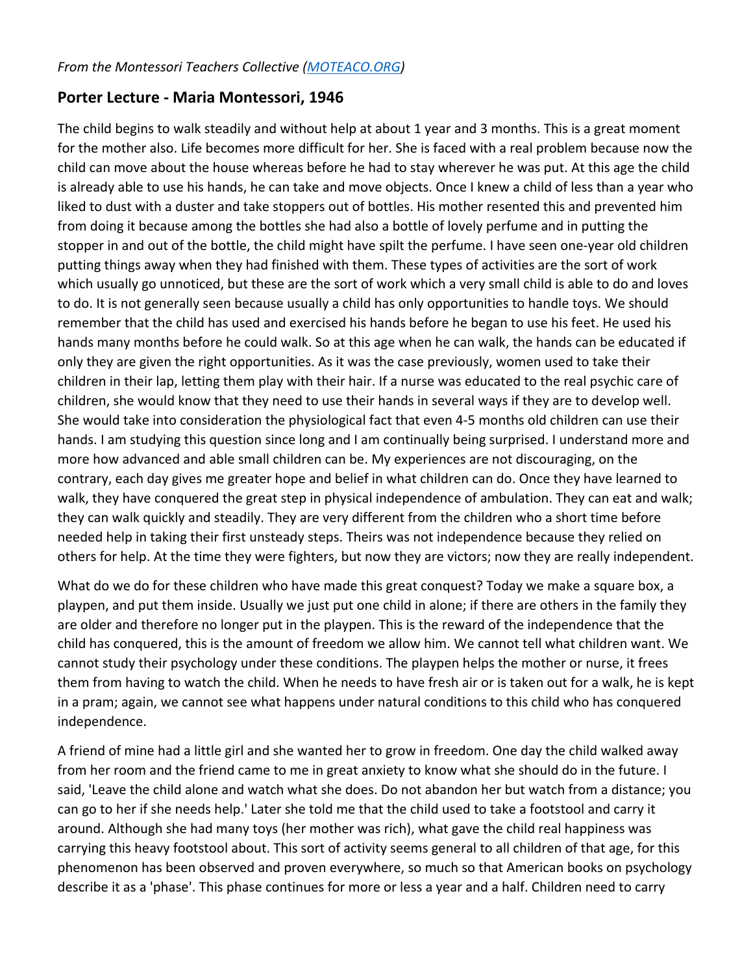## **Porter Lecture - Maria Montessori, 1946**

The child begins to walk steadily and without help at about 1 year and 3 months. This is a great moment for the mother also. Life becomes more difficult for her. She is faced with a real problem because now the child can move about the house whereas before he had to stay wherever he was put. At this age the child is already able to use his hands, he can take and move objects. Once I knew a child of less than a year who liked to dust with a duster and take stoppers out of bottles. His mother resented this and prevented him from doing it because among the bottles she had also a bottle of lovely perfume and in putting the stopper in and out of the bottle, the child might have spilt the perfume. I have seen one-year old children putting things away when they had finished with them. These types of activities are the sort of work which usually go unnoticed, but these are the sort of work which a very small child is able to do and loves to do. It is not generally seen because usually a child has only opportunities to handle toys. We should remember that the child has used and exercised his hands before he began to use his feet. He used his hands many months before he could walk. So at this age when he can walk, the hands can be educated if only they are given the right opportunities. As it was the case previously, women used to take their children in their lap, letting them play with their hair. If a nurse was educated to the real psychic care of children, she would know that they need to use their hands in several ways if they are to develop well. She would take into consideration the physiological fact that even 4-5 months old children can use their hands. I am studying this question since long and I am continually being surprised. I understand more and more how advanced and able small children can be. My experiences are not discouraging, on the contrary, each day gives me greater hope and belief in what children can do. Once they have learned to walk, they have conquered the great step in physical independence of ambulation. They can eat and walk; they can walk quickly and steadily. They are very different from the children who a short time before needed help in taking their first unsteady steps. Theirs was not independence because they relied on others for help. At the time they were fighters, but now they are victors; now they are really independent.

What do we do for these children who have made this great conquest? Today we make a square box, a playpen, and put them inside. Usually we just put one child in alone; if there are others in the family they are older and therefore no longer put in the playpen. This is the reward of the independence that the child has conquered, this is the amount of freedom we allow him. We cannot tell what children want. We cannot study their psychology under these conditions. The playpen helps the mother or nurse, it frees them from having to watch the child. When he needs to have fresh air or is taken out for a walk, he is kept in a pram; again, we cannot see what happens under natural conditions to this child who has conquered independence.

A friend of mine had a little girl and she wanted her to grow in freedom. One day the child walked away from her room and the friend came to me in great anxiety to know what she should do in the future. I said, 'Leave the child alone and watch what she does. Do not abandon her but watch from a distance; you can go to her if she needs help.' Later she told me that the child used to take a footstool and carry it around. Although she had many toys (her mother was rich), what gave the child real happiness was carrying this heavy footstool about. This sort of activity seems general to all children of that age, for this phenomenon has been observed and proven everywhere, so much so that American books on psychology describe it as a 'phase'. This phase continues for more or less a year and a half. Children need to carry